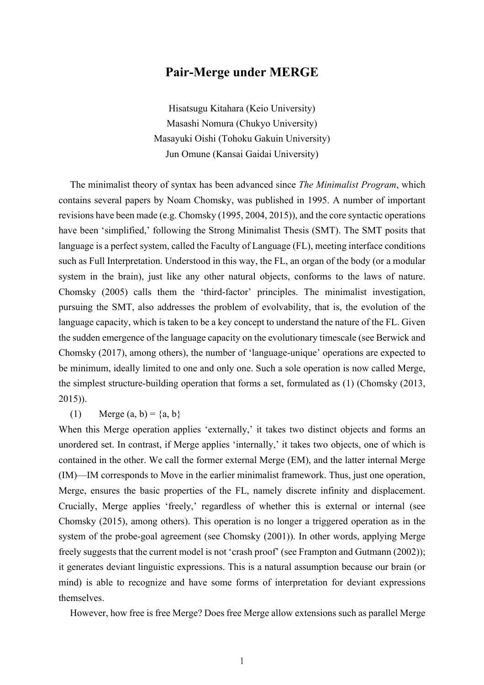## **Pair-Merge under MERGE**

Hisatsugu Kitahara (Keio University) Masashi Nomura (Chukyo University) Masayuki Oishi (Tohoku Gakuin University) Jun Omune (Kansai Gaidai University)

The minimalist theory of syntax has been advanced since *The Minimalist Program*, which contains several papers by Noam Chomsky, was published in 1995. A number of important revisions have been made (e.g. Chomsky (1995, 2004, 2015)), and the core syntactic operations have been 'simplified,' following the Strong Minimalist Thesis (SMT). The SMT posits that language is a perfect system, called the Faculty of Language (FL), meeting interface conditions such as Full Interpretation. Understood in this way, the FL, an organ of the body (or a modular system in the brain), just like any other natural objects, conforms to the laws of nature. Chomsky (2005) calls them the 'third-factor' principles. The minimalist investigation, pursuing the SMT, also addresses the problem of evolvability, that is, the evolution of the language capacity, which is taken to be a key concept to understand the nature of the FL. Given the sudden emergence of the language capacity on the evolutionary timescale (see Berwick and Chomsky (2017), among others), the number of 'language-unique' operations are expected to be minimum, ideally limited to one and only one. Such a sole operation is now called Merge, the simplest structure-building operation that forms a set, formulated as (1) (Chomsky (2013, 2015)).

## (1) Merge  $(a, b) = \{a, b\}$

When this Merge operation applies 'externally,' it takes two distinct objects and forms an unordered set. In contrast, if Merge applies 'internally,' it takes two objects, one of which is contained in the other. We call the former external Merge (EM), and the latter internal Merge (IM)—IM corresponds to Move in the earlier minimalist framework. Thus, just one operation, Merge, ensures the basic properties of the FL, namely discrete infinity and displacement. Crucially, Merge applies 'freely,' regardless of whether this is external or internal (see Chomsky (2015), among others). This operation is no longer a triggered operation as in the system of the probe-goal agreement (see Chomsky (2001)). In other words, applying Merge freely suggests that the current model is not 'crash proof' (see Frampton and Gutmann (2002)); it generates deviant linguistic expressions. This is a natural assumption because our brain (or mind) is able to recognize and have some forms of interpretation for deviant expressions themselves.

However, how free is free Merge? Does free Merge allow extensions such as parallel Merge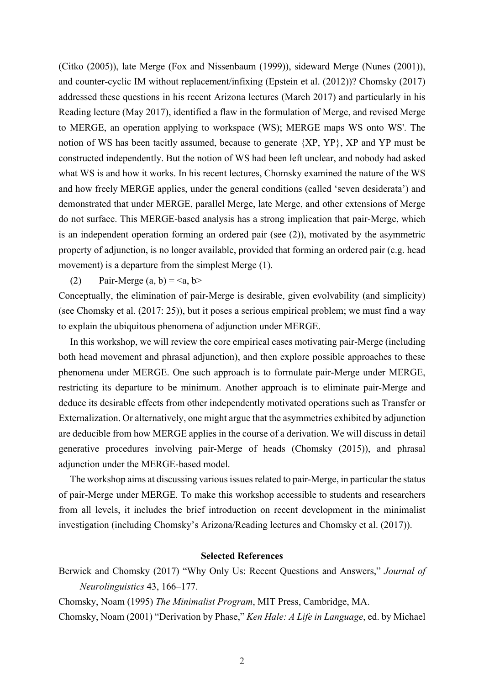(Citko (2005)), late Merge (Fox and Nissenbaum (1999)), sideward Merge (Nunes (2001)), and counter-cyclic IM without replacement/infixing (Epstein et al. (2012))? Chomsky (2017) addressed these questions in his recent Arizona lectures (March 2017) and particularly in his Reading lecture (May 2017), identified a flaw in the formulation of Merge, and revised Merge to MERGE, an operation applying to workspace (WS); MERGE maps WS onto WS'. The notion of WS has been tacitly assumed, because to generate {XP, YP}, XP and YP must be constructed independently. But the notion of WS had been left unclear, and nobody had asked what WS is and how it works. In his recent lectures, Chomsky examined the nature of the WS and how freely MERGE applies, under the general conditions (called 'seven desiderata') and demonstrated that under MERGE, parallel Merge, late Merge, and other extensions of Merge do not surface. This MERGE-based analysis has a strong implication that pair-Merge, which is an independent operation forming an ordered pair (see (2)), motivated by the asymmetric property of adjunction, is no longer available, provided that forming an ordered pair (e.g. head movement) is a departure from the simplest Merge (1).

(2) Pair-Merge  $(a, b) = \langle a, b \rangle$ 

Conceptually, the elimination of pair-Merge is desirable, given evolvability (and simplicity) (see Chomsky et al. (2017: 25)), but it poses a serious empirical problem; we must find a way to explain the ubiquitous phenomena of adjunction under MERGE.

In this workshop, we will review the core empirical cases motivating pair-Merge (including both head movement and phrasal adjunction), and then explore possible approaches to these phenomena under MERGE. One such approach is to formulate pair-Merge under MERGE, restricting its departure to be minimum. Another approach is to eliminate pair-Merge and deduce its desirable effects from other independently motivated operations such as Transfer or Externalization. Or alternatively, one might argue that the asymmetries exhibited by adjunction are deducible from how MERGE applies in the course of a derivation. We will discuss in detail generative procedures involving pair-Merge of heads (Chomsky (2015)), and phrasal adjunction under the MERGE-based model.

The workshop aims at discussing various issues related to pair-Merge, in particular the status of pair-Merge under MERGE. To make this workshop accessible to students and researchers from all levels, it includes the brief introduction on recent development in the minimalist investigation (including Chomsky's Arizona/Reading lectures and Chomsky et al. (2017)).

## **Selected References**

Berwick and Chomsky (2017) "Why Only Us: Recent Questions and Answers," *Journal of Neurolinguistics* 43, 166–177.

Chomsky, Noam (1995) *The Minimalist Program*, MIT Press, Cambridge, MA.

Chomsky, Noam (2001) "Derivation by Phase," *Ken Hale: A Life in Language*, ed. by Michael